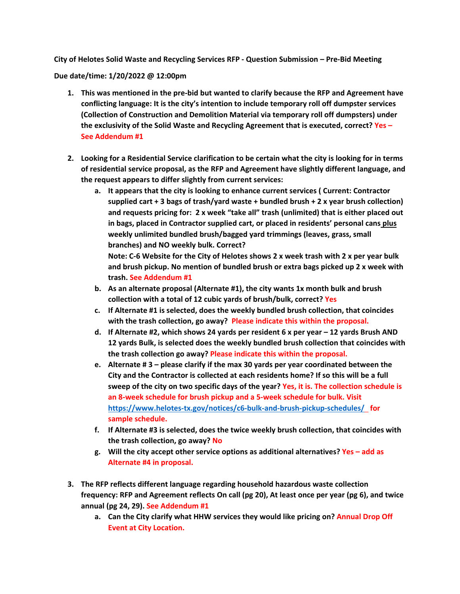**City of Helotes Solid Waste and Recycling Services RFP - Question Submission – Pre-Bid Meeting**

**Due date/time: 1/20/2022 @ 12:00pm**

- **1. This was mentioned in the pre-bid but wanted to clarify because the RFP and Agreement have conflicting language: It is the city's intention to include temporary roll off dumpster services (Collection of Construction and Demolition Material via temporary roll off dumpsters) under the exclusivity of the Solid Waste and Recycling Agreement that is executed, correct? Yes – See Addendum #1**
- **2. Looking for a Residential Service clarification to be certain what the city is looking for in terms of residential service proposal, as the RFP and Agreement have slightly different language, and the request appears to differ slightly from current services:**
	- **a. It appears that the city is looking to enhance current services ( Current: Contractor supplied cart + 3 bags of trash/yard waste + bundled brush + 2 x year brush collection) and requests pricing for: 2 x week "take all" trash (unlimited) that is either placed out in bags, placed in Contractor supplied cart, or placed in residents' personal cans plus weekly unlimited bundled brush/bagged yard trimmings (leaves, grass, small branches) and NO weekly bulk. Correct?**

**Note: C-6 Website for the City of Helotes shows 2 x week trash with 2 x per year bulk and brush pickup. No mention of bundled brush or extra bags picked up 2 x week with trash. See Addendum #1**

- **b. As an alternate proposal (Alternate #1), the city wants 1x month bulk and brush collection with a total of 12 cubic yards of brush/bulk, correct? Yes**
- **c. If Alternate #1 is selected, does the weekly bundled brush collection, that coincides with the trash collection, go away? Please indicate this within the proposal.**
- **d. If Alternate #2, which shows 24 yards per resident 6 x per year – 12 yards Brush AND 12 yards Bulk, is selected does the weekly bundled brush collection that coincides with the trash collection go away? Please indicate this within the proposal.**
- **e. Alternate # 3 – please clarify if the max 30 yards per year coordinated between the City and the Contractor is collected at each residents home? If so this will be a full sweep of the city on two specific days of the year? Yes, it is. The collection schedule is an 8-week schedule for brush pickup and a 5-week schedule for bulk. Visit <https://www.helotes-tx.gov/notices/c6-bulk-and-brush-pickup-schedules/>for sample schedule.**
- **f. If Alternate #3 is selected, does the twice weekly brush collection, that coincides with the trash collection, go away? No**
- **g. Will the city accept other service options as additional alternatives? Yes – add as Alternate #4 in proposal.**
- **3. The RFP reflects different language regarding household hazardous waste collection frequency: RFP and Agreement reflects On call (pg 20), At least once per year (pg 6), and twice annual (pg 24, 29). See Addendum #1**
	- **a. Can the City clarify what HHW services they would like pricing on? Annual Drop Off Event at City Location.**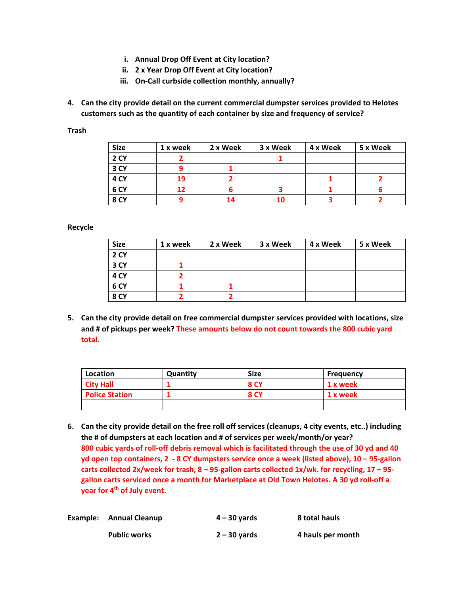- **i. Annual Drop Off Event at City location?**
- **ii. 2 x Year Drop Off Event at City location?**
- **iii. On-Call curbside collection monthly, annually?**
- **4. Can the city provide detail on the current commercial dumpster services provided to Helotes customers such as the quantity of each container by size and frequency of service?**

**Trash**

| <b>Size</b>     | 1 x week | 2 x Week | 3 x Week | 4 x Week | 5 x Week |
|-----------------|----------|----------|----------|----------|----------|
| 2 CY            |          |          |          |          |          |
| 3 CY            |          |          |          |          |          |
| 4 CY            | 19       |          |          |          |          |
| 6 <sub>CY</sub> | 12       |          |          |          |          |
| 8 CY            |          | 14       |          |          |          |

**Recycle**

| <b>Size</b>     | 1 x week | 2 x Week | 3 x Week | 4 x Week | 5 x Week |
|-----------------|----------|----------|----------|----------|----------|
| <b>2 CY</b>     |          |          |          |          |          |
| 3 CY            |          |          |          |          |          |
| 4 CY            |          |          |          |          |          |
| 6 <sub>CY</sub> |          |          |          |          |          |
| <b>8 CY</b>     |          |          |          |          |          |

**5. Can the city provide detail on free commercial dumpster services provided with locations, size and # of pickups per week? These amounts below do not count towards the 800 cubic yard total.** 

| Location              | Quantity | <b>Size</b> | <b>Frequency</b> |
|-----------------------|----------|-------------|------------------|
| <b>City Hall</b>      |          | <b>8 CY</b> | 1 x week         |
| <b>Police Station</b> |          | <b>8 CY</b> | 1 x week         |
|                       |          |             |                  |

**6. Can the city provide detail on the free roll off services (cleanups, 4 city events, etc..) including the # of dumpsters at each location and # of services per week/month/or year? 800 cubic yards of roll-off debris removal which is facilitated through the use of 30 yd and 40 yd open top containers, 2 - 8 CY dumpsters service once a week (listed above), 10 – 95-gallon carts collected 2x/week for trash, 8 – 95-gallon carts collected 1x/wk. for recycling, 17 – 95 gallon carts serviced once a month for Marketplace at Old Town Helotes. A 30 yd roll-off a year for 4th of July event.** 

| Example: Annual Cleanup | $4 - 30$ vards | 8 total hauls     |
|-------------------------|----------------|-------------------|
| <b>Public works</b>     | $2 - 30$ vards | 4 hauls per month |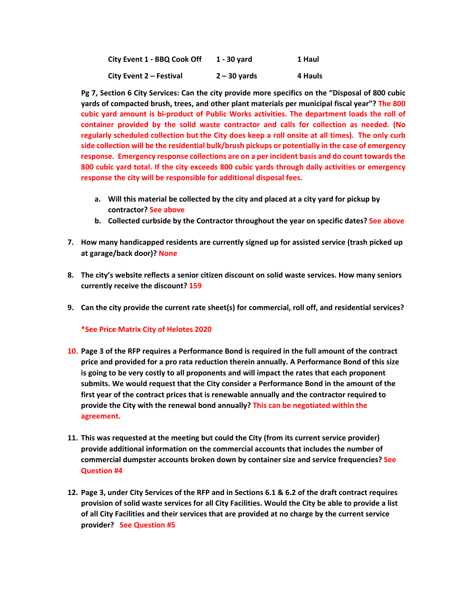| City Event 1 - BBQ Cook Off | 1 - 30 vard    | 1 Haul  |
|-----------------------------|----------------|---------|
| City Event 2 - Festival     | $2 - 30$ vards | 4 Hauls |

**Pg 7, Section 6 City Services: Can the city provide more specifics on the "Disposal of 800 cubic yards of compacted brush, trees, and other plant materials per municipal fiscal year"? The 800 cubic yard amount is bi-product of Public Works activities. The department loads the roll of container provided by the solid waste contractor and calls for collection as needed. (No regularly scheduled collection but the City does keep a roll onsite at all times). The only curb side collection will be the residential bulk/brush pickups or potentially in the case of emergency response. Emergency response collections are on a per incident basis and do count towards the 800 cubic yard total. If the city exceeds 800 cubic yards through daily activities or emergency response the city will be responsible for additional disposal fees.** 

- **a. Will this material be collected by the city and placed at a city yard for pickup by contractor? See above**
- **b. Collected curbside by the Contractor throughout the year on specific dates? See above**
- **7. How many handicapped residents are currently signed up for assisted service (trash picked up at garage/back door)? None**
- **8. The city's website reflects a senior citizen discount on solid waste services. How many seniors currently receive the discount? 159**
- **9. Can the city provide the current rate sheet(s) for commercial, roll off, and residential services?**

## **\*See Price Matrix City of Helotes 2020**

- **10. Page 3 of the RFP requires a Performance Bond is required in the full amount of the contract price and provided for a pro rata reduction therein annually. A Performance Bond of this size is going to be very costly to all proponents and will impact the rates that each proponent submits. We would request that the City consider a Performance Bond in the amount of the first year of the contract prices that is renewable annually and the contractor required to provide the City with the renewal bond annually? This can be negotiated within the agreement.**
- **11. This was requested at the meeting but could the City (from its current service provider) provide additional information on the commercial accounts that includes the number of commercial dumpster accounts broken down by container size and service frequencies? See Question #4**
- **12. Page 3, under City Services of the RFP and in Sections 6.1 & 6.2 of the draft contract requires provision of solid waste services for all City Facilities. Would the City be able to provide a list of all City Facilities and their services that are provided at no charge by the current service provider? See Question #5**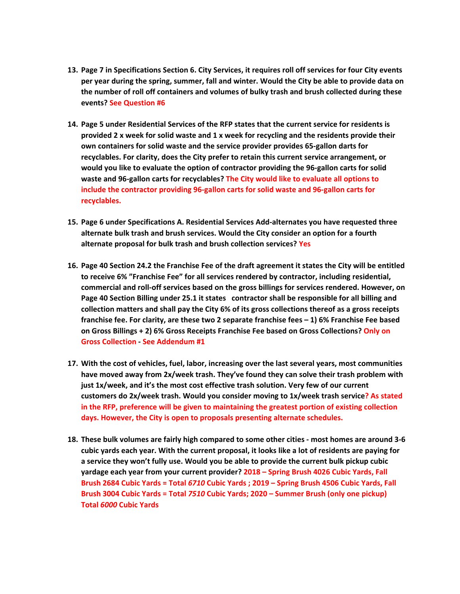- **13. Page 7 in Specifications Section 6. City Services, it requires roll off services for four City events per year during the spring, summer, fall and winter. Would the City be able to provide data on the number of roll off containers and volumes of bulky trash and brush collected during these events? See Question #6**
- **14. Page 5 under Residential Services of the RFP states that the current service for residents is provided 2 x week for solid waste and 1 x week for recycling and the residents provide their own containers for solid waste and the service provider provides 65-gallon darts for recyclables. For clarity, does the City prefer to retain this current service arrangement, or would you like to evaluate the option of contractor providing the 96-gallon carts for solid waste and 96-gallon carts for recyclables? The City would like to evaluate all options to include the contractor providing 96-gallon carts for solid waste and 96-gallon carts for recyclables.**
- **15. Page 6 under Specifications A. Residential Services Add-alternates you have requested three alternate bulk trash and brush services. Would the City consider an option for a fourth alternate proposal for bulk trash and brush collection services? Yes**
- **16. Page 40 Section 24.2 the Franchise Fee of the draft agreement it states the City will be entitled to receive 6% "Franchise Fee" for all services rendered by contractor, including residential, commercial and roll-off services based on the gross billings for services rendered. However, on Page 40 Section Billing under 25.1 it states contractor shall be responsible for all billing and collection matters and shall pay the City 6% of its gross collections thereof as a gross receipts franchise fee. For clarity, are these two 2 separate franchise fees – 1) 6% Franchise Fee based on Gross Billings + 2) 6% Gross Receipts Franchise Fee based on Gross Collections? Only on Gross Collection - See Addendum #1**
- **17. With the cost of vehicles, fuel, labor, increasing over the last several years, most communities have moved away from 2x/week trash. They've found they can solve their trash problem with just 1x/week, and it's the most cost effective trash solution. Very few of our current customers do 2x/week trash. Would you consider moving to 1x/week trash service? As stated in the RFP, preference will be given to maintaining the greatest portion of existing collection days. However, the City is open to proposals presenting alternate schedules.**
- **18. These bulk volumes are fairly high compared to some other cities - most homes are around 3-6 cubic yards each year. With the current proposal, it looks like a lot of residents are paying for a service they won't fully use. Would you be able to provide the current bulk pickup cubic yardage each year from your current provider? 2018 – Spring Brush 4026 Cubic Yards, Fall Brush 2684 Cubic Yards = Total** *6710* **Cubic Yards ; 2019 – Spring Brush 4506 Cubic Yards, Fall Brush 3004 Cubic Yards = Total** *7510* **Cubic Yards; 2020 – Summer Brush (only one pickup) Total** *6000* **Cubic Yards**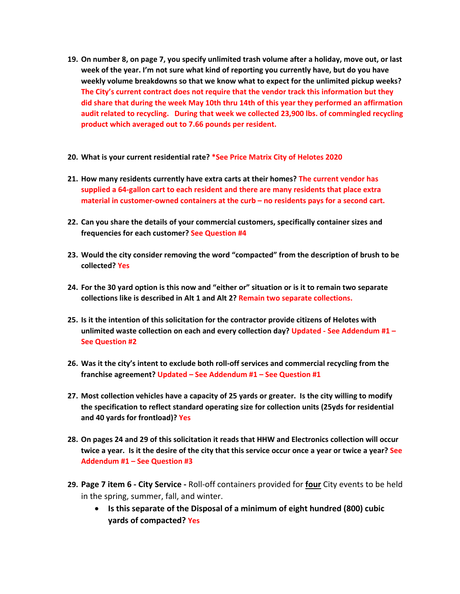- **19. On number 8, on page 7, you specify unlimited trash volume after a holiday, move out, or last week of the year. I'm not sure what kind of reporting you currently have, but do you have weekly volume breakdowns so that we know what to expect for the unlimited pickup weeks? The City's current contract does not require that the vendor track this information but they did share that during the week May 10th thru 14th of this year they performed an affirmation audit related to recycling. During that week we collected 23,900 lbs. of commingled recycling product which averaged out to 7.66 pounds per resident.**
- **20. What is your current residential rate? \*See Price Matrix City of Helotes 2020**
- **21. How many residents currently have extra carts at their homes? The current vendor has supplied a 64-gallon cart to each resident and there are many residents that place extra material in customer-owned containers at the curb – no residents pays for a second cart.**
- **22. Can you share the details of your commercial customers, specifically container sizes and frequencies for each customer? See Question #4**
- **23. Would the city consider removing the word "compacted" from the description of brush to be collected? Yes**
- **24. For the 30 yard option is this now and "either or" situation or is it to remain two separate collections like is described in Alt 1 and Alt 2? Remain two separate collections.**
- **25. Is it the intention of this solicitation for the contractor provide citizens of Helotes with unlimited waste collection on each and every collection day? Updated - See Addendum #1 – See Question #2**
- **26. Was it the city's intent to exclude both roll-off services and commercial recycling from the franchise agreement? Updated – See Addendum #1 – See Question #1**
- **27. Most collection vehicles have a capacity of 25 yards or greater. Is the city willing to modify the specification to reflect standard operating size for collection units (25yds for residential and 40 yards for frontload)? Yes**
- **28. On pages 24 and 29 of this solicitation it reads that HHW and Electronics collection will occur twice a year. Is it the desire of the city that this service occur once a year or twice a year? See Addendum #1 – See Question #3**
- **29. Page 7 item 6 - City Service -** Roll‐off containers provided for **four** City events to be held in the spring, summer, fall, and winter.
	- **Is this separate of the Disposal of a minimum of eight hundred (800) cubic yards of compacted? Yes**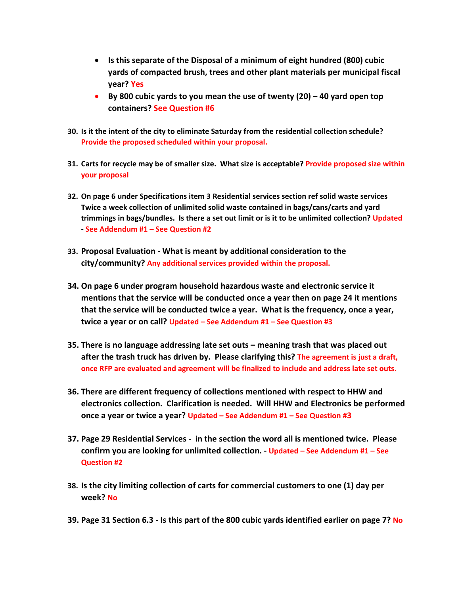- **Is this separate of the Disposal of a minimum of eight hundred (800) cubic yards of compacted brush, trees and other plant materials per municipal fiscal year? Yes**
- **By 800 cubic yards to you mean the use of twenty (20) – 40 yard open top containers? See Question #6**
- **30. Is it the intent of the city to eliminate Saturday from the residential collection schedule? Provide the proposed scheduled within your proposal.**
- **31. Carts for recycle may be of smaller size. What size is acceptable? Provide proposed size within your proposal**
- **32. On page 6 under Specifications item 3 Residential services section ref solid waste services Twice a week collection of unlimited solid waste contained in bags/cans/carts and yard trimmings in bags/bundles. Is there a set out limit or is it to be unlimited collection? Updated - See Addendum #1 – See Question #2**
- **33. Proposal Evaluation - What is meant by additional consideration to the city/community? Any additional services provided within the proposal.**
- **34. On page 6 under program household hazardous waste and electronic service it mentions that the service will be conducted once a year then on page 24 it mentions that the service will be conducted twice a year. What is the frequency, once a year, twice a year or on call? Updated – See Addendum #1 – See Question #3**
- **35. There is no language addressing late set outs – meaning trash that was placed out after the trash truck has driven by. Please clarifying this? The agreement is just a draft, once RFP are evaluated and agreement will be finalized to include and address late set outs.**
- **36. There are different frequency of collections mentioned with respect to HHW and electronics collection. Clarification is needed. Will HHW and Electronics be performed once a year or twice a year? Updated – See Addendum #1 – See Question #3**
- **37. Page 29 Residential Services - in the section the word all is mentioned twice. Please confirm you are looking for unlimited collection. - Updated – See Addendum #1 – See Question #2**
- **38. Is the city limiting collection of carts for commercial customers to one (1) day per week? No**
- **39. Page 31 Section 6.3 - Is this part of the 800 cubic yards identified earlier on page 7? No**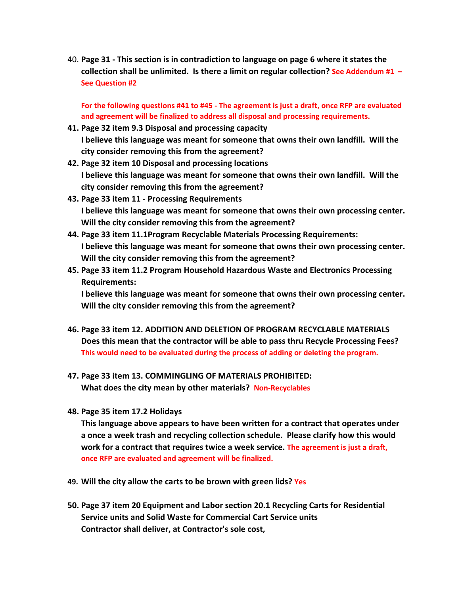40. **Page 31 - This section is in contradiction to language on page 6 where it states the collection shall be unlimited. Is there a limit on regular collection? See Addendum #1 – See Question #2**

**For the following questions #41 to #45 - The agreement is just a draft, once RFP are evaluated and agreement will be finalized to address all disposal and processing requirements.**

- **41. Page 32 item 9.3 Disposal and processing capacity I believe this language was meant for someone that owns their own landfill. Will the city consider removing this from the agreement?**
- **42. Page 32 item 10 Disposal and processing locations I believe this language was meant for someone that owns their own landfill. Will the city consider removing this from the agreement?**
- **43. Page 33 item 11 - Processing Requirements I believe this language was meant for someone that owns their own processing center. Will the city consider removing this from the agreement?**
- **44. Page 33 item 11.1Program Recyclable Materials Processing Requirements: I believe this language was meant for someone that owns their own processing center. Will the city consider removing this from the agreement?**
- **45. Page 33 item 11.2 Program Household Hazardous Waste and Electronics Processing Requirements:**

**I believe this language was meant for someone that owns their own processing center. Will the city consider removing this from the agreement?**

- **46. Page 33 item 12. ADDITION AND DELETION OF PROGRAM RECYCLABLE MATERIALS Does this mean that the contractor will be able to pass thru Recycle Processing Fees? This would need to be evaluated during the process of adding or deleting the program.**
- **47. Page 33 item 13. COMMINGLING OF MATERIALS PROHIBITED: What does the city mean by other materials? Non-Recyclables**
- **48. Page 35 item 17.2 Holidays**

**This language above appears to have been written for a contract that operates under a once a week trash and recycling collection schedule. Please clarify how this would work for a contract that requires twice a week service. The agreement is just a draft, once RFP are evaluated and agreement will be finalized.**

- **49. Will the city allow the carts to be brown with green lids? Yes**
- **50. Page 37 item 20 Equipment and Labor section 20.1 Recycling Carts for Residential Service units and Solid Waste for Commercial Cart Service units Contractor shall deliver, at Contractor's sole cost,**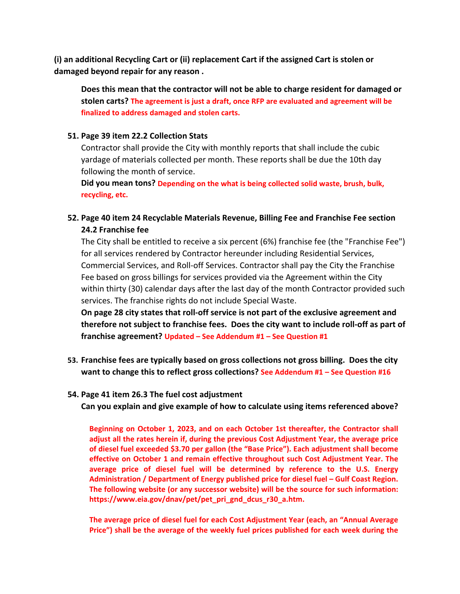**(i) an additional Recycling Cart or (ii) replacement Cart if the assigned Cart is stolen or damaged beyond repair for any reason .**

**Does this mean that the contractor will not be able to charge resident for damaged or stolen carts? The agreement is just a draft, once RFP are evaluated and agreement will be finalized to address damaged and stolen carts.** 

## **51. Page 39 item 22.2 Collection Stats**

Contractor shall provide the City with monthly reports that shall include the cubic yardage of materials collected per month. These reports shall be due the 10th day following the month of service.

**Did you mean tons? Depending on the what is being collected solid waste, brush, bulk, recycling, etc.** 

**52. Page 40 item 24 Recyclable Materials Revenue, Billing Fee and Franchise Fee section 24.2 Franchise fee**

The City shall be entitled to receive a six percent (6%) franchise fee (the "Franchise Fee") for all services rendered by Contractor hereunder including Residential Services, Commercial Services, and Roll‐off Services. Contractor shall pay the City the Franchise Fee based on gross billings for services provided via the Agreement within the City within thirty (30) calendar days after the last day of the month Contractor provided such services. The franchise rights do not include Special Waste.

**On page 28 city states that roll-off service is not part of the exclusive agreement and therefore not subject to franchise fees. Does the city want to include roll-off as part of franchise agreement? Updated – See Addendum #1 – See Question #1**

**53. Franchise fees are typically based on gross collections not gross billing. Does the city want to change this to reflect gross collections? See Addendum #1 – See Question #16**

## **54. Page 41 item 26.3 The fuel cost adjustment**

**Can you explain and give example of how to calculate using items referenced above?**

**Beginning on October 1, 2023, and on each October 1st thereafter, the Contractor shall adjust all the rates herein if, during the previous Cost Adjustment Year, the average price of diesel fuel exceeded \$3.70 per gallon (the "Base Price"). Each adjustment shall become effective on October 1 and remain effective throughout such Cost Adjustment Year. The average price of diesel fuel will be determined by reference to the U.S. Energy Administration / Department of Energy published price for diesel fuel – Gulf Coast Region. The following website (or any successor website) will be the source for such information: [https://www.eia.gov/dnav/pet/pet\\_pri\\_gnd](http://www.eia.gov/dnav/pet/pet_pri_gnd_dcus_r30_a.htm)\_dcu[s\\_r30\\_a.htm.](http://www.eia.gov/dnav/pet/pet_pri_gnd_dcus_r30_a.htm)**

**The average price of diesel fuel for each Cost Adjustment Year (each, an "Annual Average Price") shall be the average of the weekly fuel prices published for each week during the**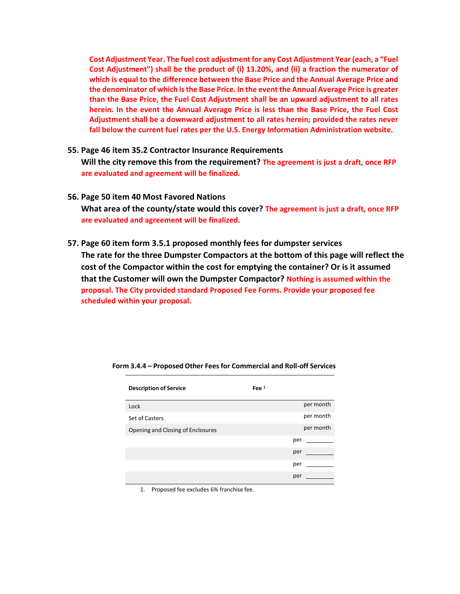**Cost Adjustment Year. The fuel cost adjustment for any Cost Adjustment Year (each, a "Fuel Cost Adjustment") shall be the product of (i) 13.20%, and (ii) a fraction the numerator of which is equal to the difference between the Base Price and the Annual Average Price and the denominator of which is the Base Price. In the event the Annual Average Price is greater than the Base Price, the Fuel Cost Adjustment shall be an upward adjustment to all rates herein. In the event the Annual Average Price is less than the Base Price, the Fuel Cost Adjustment shall be a downward adjustment to all rates herein; provided the rates never fall below the current fuel rates per the U.S. Energy Information Administration website.**

- **55. Page 46 item 35.2 Contractor Insurance Requirements Will the city remove this from the requirement? The agreement is just a draft, once RFP are evaluated and agreement will be finalized.**
- **56. Page 50 item 40 Most Favored Nations What area of the county/state would this cover? The agreement is just a draft, once RFP are evaluated and agreement will be finalized.**
- **57. Page 60 item form 3.5.1 proposed monthly fees for dumpster services The rate for the three Dumpster Compactors at the bottom of this page will reflect the cost of the Compactor within the cost for emptying the container? Or is it assumed that the Customer will own the Dumpster Compactor? Nothing is assumed within the proposal. The City provided standard Proposed Fee Forms. Provide your proposed fee scheduled within your proposal.**

| <b>Description of Service</b>     | Fee $1$   |
|-----------------------------------|-----------|
| Lock                              | per month |
| Set of Casters                    | per month |
| Opening and Closing of Enclosures | per month |
|                                   | per       |
|                                   | per       |
|                                   | per       |
|                                   | per       |

1. Proposed fee excludes 6% franchise fee.